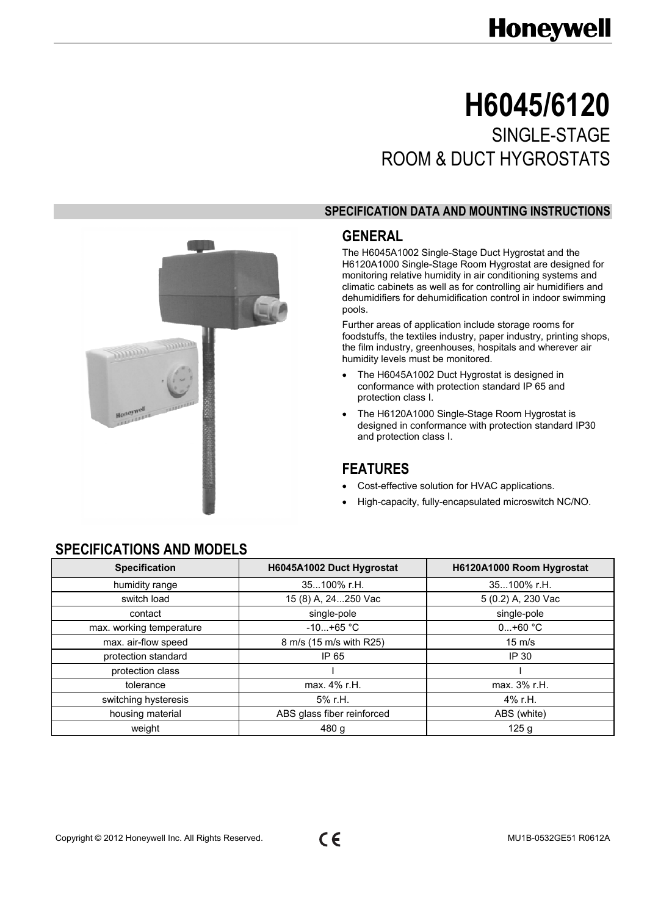# **Honeywell**

# **H6045/6120**  SINGLE-STAGE ROOM & DUCT HYGROSTATS

#### **SPECIFICATION DATA AND MOUNTING INSTRUCTIONS**

## **GENERAL**

The H6045A1002 Single-Stage Duct Hygrostat and the H6120A1000 Single-Stage Room Hygrostat are designed for monitoring relative humidity in air conditioning systems and climatic cabinets as well as for controlling air humidifiers and dehumidifiers for dehumidification control in indoor swimming pools.

Further areas of application include storage rooms for foodstuffs, the textiles industry, paper industry, printing shops, the film industry, greenhouses, hospitals and wherever air humidity levels must be monitored.

- The H6045A1002 Duct Hygrostat is designed in conformance with protection standard IP 65 and protection class I.
- The H6120A1000 Single-Stage Room Hygrostat is designed in conformance with protection standard IP30 and protection class I.

## **FEATURES**

- Cost-effective solution for HVAC applications.
- High-capacity, fully-encapsulated microswitch NC/NO.

# **SPECIFICATIONS AND MODELS**

**Simpo** 

Honeyw

| <b>Specification</b>     | H6045A1002 Duct Hygrostat  | H6120A1000 Room Hygrostat |
|--------------------------|----------------------------|---------------------------|
| humidity range           | 35100% r.H.                | 35100% r.H.               |
| switch load              | 15 (8) A, 24250 Vac        | 5 (0.2) A, 230 Vac        |
| contact                  | single-pole                | single-pole               |
| max. working temperature | $-10+65 °C$                | $0+60 °C$                 |
| max. air-flow speed      | 8 m/s (15 m/s with R25)    | $15 \text{ m/s}$          |
| protection standard      | IP 65                      | IP 30                     |
| protection class         |                            |                           |
| tolerance                | max. 4% r.H.               | max. 3% r.H.              |
| switching hysteresis     | 5% r.H.                    | 4% r.H.                   |
| housing material         | ABS glass fiber reinforced | ABS (white)               |
| weight                   | 480 g                      | 125q                      |



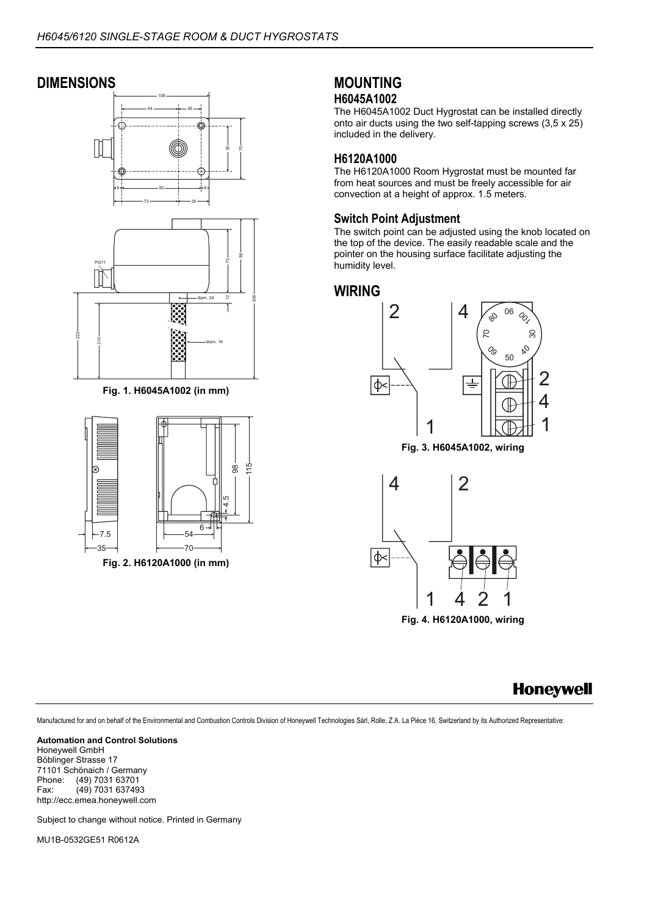# **DIMENSIONS**



**Fig. 1. H6045A1002 (in mm)** 



### **MOUNTING H6045A1002**

The H6045A1002 Duct Hygrostat can be installed directly onto air ducts using the two self-tapping screws (3,5 x 25) included in the delivery.

### **H6120A1000**

The H6120A1000 Room Hygrostat must be mounted far from heat sources and must be freely accessible for air convection at a height of approx. 1.5 meters.

#### **Switch Point Adjustment**

The switch point can be adjusted using the knob located on the top of the device. The easily readable scale and the pointer on the housing surface facilitate adjusting the humidity level.

### **WIRING**



**Fig. 3. H6045A1002, wiring** 



# **Honeywell**

Manufactured for and on behalf of the Environmental and Combustion Controls Division of Honeywell Technologies Sàrl, Rolle, Z.A. La Pièce 16, Switzerland by its Authorized Representative:

**Automation and Control Solutions**  Honeywell GmbH Böblinger Strasse 17 71101 Schönaich / Germany<br>Phone: (49) 7031 63701 Phone: (49) 7031 63701<br>Fax: (49) 7031 63749 Fax: (49) 7031 637493 http://ecc.emea.honeywell.com

Subject to change without notice. Printed in Germany

MU1B-0532GE51 R0612A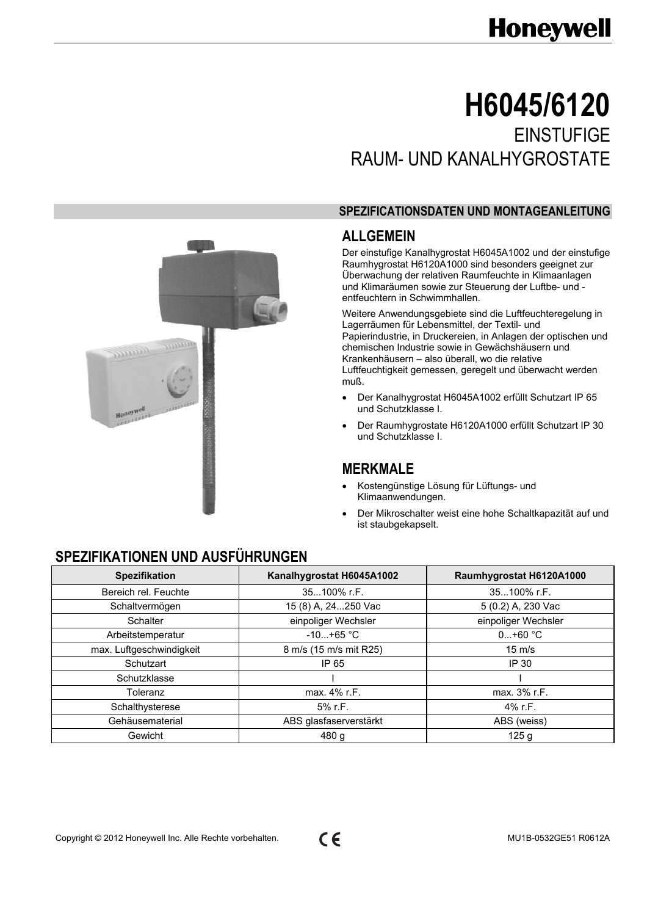# **Honeywell**

# **H6045/6120 EINSTUFIGE** RAUM- UND KANALHYGROSTATE

#### **SPEZIFICATIONSDATEN UND MONTAGEANLEITUNG**

# **ALLGEMEIN**

Der einstufige Kanalhygrostat H6045A1002 und der einstufige Raumhygrostat H6120A1000 sind besonders geeignet zur Überwachung der relativen Raumfeuchte in Klimaanlagen und Klimaräumen sowie zur Steuerung der Luftbe- und entfeuchtern in Schwimmhallen.

Weitere Anwendungsgebiete sind die Luftfeuchteregelung in Lagerräumen für Lebensmittel, der Textil- und Papierindustrie, in Druckereien, in Anlagen der optischen und chemischen Industrie sowie in Gewächshäusern und Krankenhäusern – also überall, wo die relative Luftfeuchtigkeit gemessen, geregelt und überwacht werden muß.

- Der Kanalhygrostat H6045A1002 erfüllt Schutzart IP 65 und Schutzklasse I.
- Der Raumhygrostate H6120A1000 erfüllt Schutzart IP 30 und Schutzklasse I.

## **MERKMALE**

- Kostengünstige Lösung für Lüftungs- und Klimaanwendungen.
- Der Mikroschalter weist eine hohe Schaltkapazität auf und ist staubgekapselt.

# **SPEZIFIKATIONEN UND AUSFÜHRUNGEN**

**Simpo** 

Honeywe

| <b>Spezifikation</b>     | Kanalhygrostat H6045A1002 | Raumhygrostat H6120A1000 |
|--------------------------|---------------------------|--------------------------|
| Bereich rel. Feuchte     | 35100% r.F.               | 35100% r.F.              |
| Schaltvermögen           | 15 (8) A, 24250 Vac       | 5 (0.2) A, 230 Vac       |
| Schalter                 | einpoliger Wechsler       | einpoliger Wechsler      |
| Arbeitstemperatur        | $-10+65 °C$               | $0+60 °C$                |
| max. Luftgeschwindigkeit | 8 m/s (15 m/s mit R25)    | $15 \text{ m/s}$         |
| Schutzart                | IP 65                     | IP 30                    |
| Schutzklasse             |                           |                          |
| Toleranz                 | max. 4% r.F.              | max. 3% r.F.             |
| Schalthysterese          | 5% r.F.                   | 4% r.F.                  |
| Gehäusematerial          | ABS glasfaserverstärkt    | ABS (weiss)              |
| Gewicht                  | 480 g                     | 125q                     |